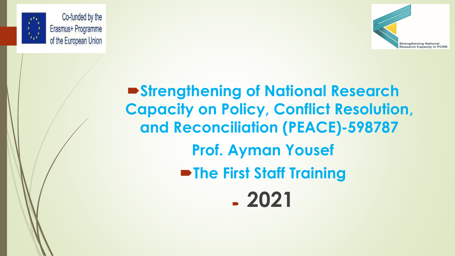



**Strengthening of National Research Capacity on Policy, Conflict Resolution, and Reconciliation (PEACE)-598787 Prof. Ayman Yousef The First Staff Training 2021**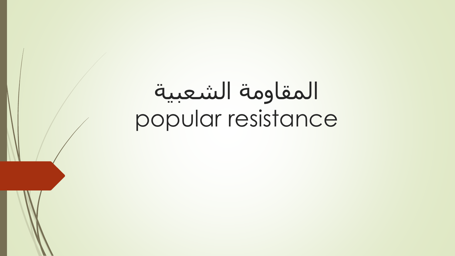# المقاومة الشعبية popular resistance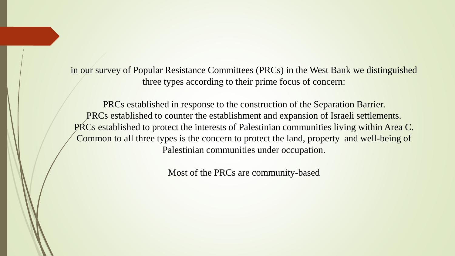in our survey of Popular Resistance Committees (PRCs) in the West Bank we distinguished three types according to their prime focus of concern:

PRCs established in response to the construction of the Separation Barrier. PRCs established to counter the establishment and expansion of Israeli settlements. PRCs established to protect the interests of Palestinian communities living within Area C. Common to all three types is the concern to protect the land, property and well-being of Palestinian communities under occupation.

Most of the PRCs are community-based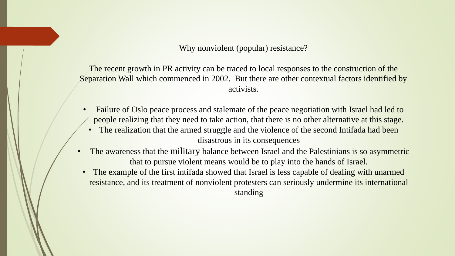Why nonviolent (popular) resistance?

The recent growth in PR activity can be traced to local responses to the construction of the Separation Wall which commenced in 2002. But there are other contextual factors identified by activists.

- Failure of Oslo peace process and stalemate of the peace negotiation with Israel had led to people realizing that they need to take action, that there is no other alternative at this stage.
	- The realization that the armed struggle and the violence of the second Intifada had been disastrous in its consequences
- The awareness that the military balance between Israel and the Palestinians is so asymmetric that to pursue violent means would be to play into the hands of Israel.
- The example of the first intifada showed that Israel is less capable of dealing with unarmed resistance, and its treatment of nonviolent protesters can seriously undermine its international standing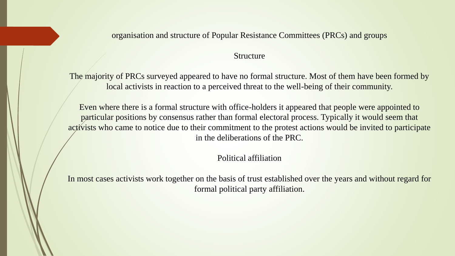### organisation and structure of Popular Resistance Committees (PRCs) and groups

#### Structure

The majority of PRCs surveyed appeared to have no formal structure. Most of them have been formed by local activists in reaction to a perceived threat to the well-being of their community.

Even where there is a formal structure with office-holders it appeared that people were appointed to particular positions by consensus rather than formal electoral process. Typically it would seem that activists who came to notice due to their commitment to the protest actions would be invited to participate in the deliberations of the PRC.

Political affiliation

In most cases activists work together on the basis of trust established over the years and without regard for formal political party affiliation.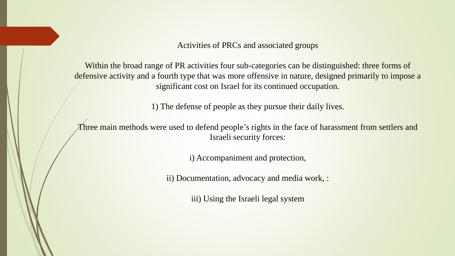Activities of PRCs and associated groups

Within the broad range of PR activities four sub-categories can be distinguished: three forms of defensive activity and a fourth type that was more offensive in nature, designed primarily to impose a significant cost on Israel for its continued occupation.

1) The defense of people as they pursue their daily lives.

Three main methods were used to defend people's rights in the face of harassment from settlers and Israeli security forces:

i) Accompaniment and protection,

ii) Documentation, advocacy and media work, :

iii) Using the Israeli legal system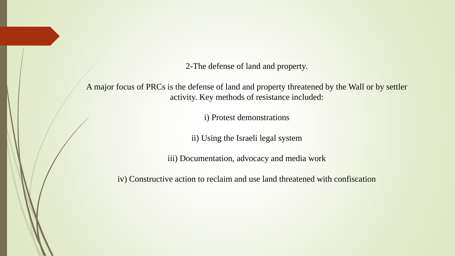2-The defense of land and property.

A major focus of PRCs is the defense of land and property threatened by the Wall or by settler activity. Key methods of resistance included:

i) Protest demonstrations

ii) Using the Israeli legal system

iii) Documentation, advocacy and media work

iv) Constructive action to reclaim and use land threatened with confiscation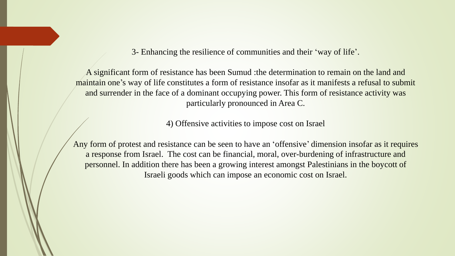3- Enhancing the resilience of communities and their 'way of life'.

A significant form of resistance has been Sumud :the determination to remain on the land and maintain one's way of life constitutes a form of resistance insofar as it manifests a refusal to submit and surrender in the face of a dominant occupying power. This form of resistance activity was particularly pronounced in Area C.

4) Offensive activities to impose cost on Israel

Any form of protest and resistance can be seen to have an 'offensive' dimension insofar as it requires a response from Israel. The cost can be financial, moral, over-burdening of infrastructure and personnel. In addition there has been a growing interest amongst Palestinians in the boycott of Israeli goods which can impose an economic cost on Israel.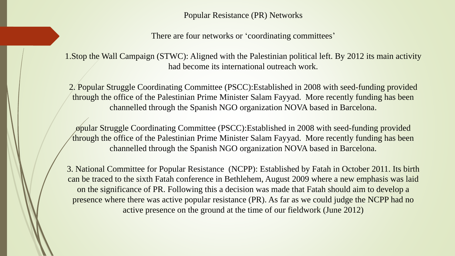Popular Resistance (PR) Networks

There are four networks or 'coordinating committees'

1.Stop the Wall Campaign (STWC): Aligned with the Palestinian political left. By 2012 its main activity had become its international outreach work.

2. Popular Struggle Coordinating Committee (PSCC):Established in 2008 with seed-funding provided through the office of the Palestinian Prime Minister Salam Fayyad. More recently funding has been channelled through the Spanish NGO organization NOVA based in Barcelona.

opular Struggle Coordinating Committee (PSCC):Established in 2008 with seed-funding provided through the office of the Palestinian Prime Minister Salam Fayyad. More recently funding has been channelled through the Spanish NGO organization NOVA based in Barcelona.

3. National Committee for Popular Resistance (NCPP): Established by Fatah in October 2011. Its birth can be traced to the sixth Fatah conference in Bethlehem, August 2009 where a new emphasis was laid on the significance of PR. Following this a decision was made that Fatah should aim to develop a presence where there was active popular resistance (PR). As far as we could judge the NCPP had no active presence on the ground at the time of our fieldwork (June 2012)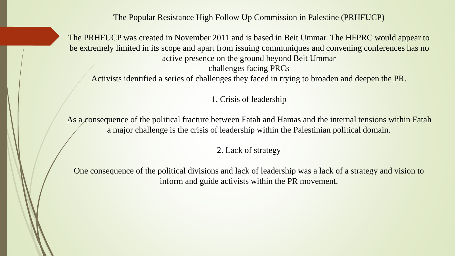The Popular Resistance High Follow Up Commission in Palestine (PRHFUCP)

The PRHFUCP was created in November 2011 and is based in Beit Ummar. The HFPRC would appear to be extremely limited in its scope and apart from issuing communiques and convening conferences has no active presence on the ground beyond Beit Ummar challenges facing PRCs

Activists identified a series of challenges they faced in trying to broaden and deepen the PR.

1. Crisis of leadership

As a consequence of the political fracture between Fatah and Hamas and the internal tensions within Fatah a major challenge is the crisis of leadership within the Palestinian political domain.

2. Lack of strategy

One consequence of the political divisions and lack of leadership was a lack of a strategy and vision to inform and guide activists within the PR movement.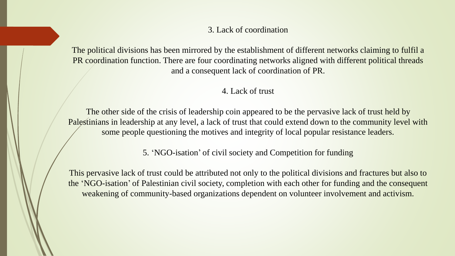# 3. Lack of coordination

The political divisions has been mirrored by the establishment of different networks claiming to fulfil a PR coordination function. There are four coordinating networks aligned with different political threads and a consequent lack of coordination of PR.

# 4. Lack of trust

The other side of the crisis of leadership coin appeared to be the pervasive lack of trust held by Palestinians in leadership at any level, a lack of trust that could extend down to the community level with some people questioning the motives and integrity of local popular resistance leaders.

5. 'NGO-isation' of civil society and Competition for funding

This pervasive lack of trust could be attributed not only to the political divisions and fractures but also to the 'NGO-isation' of Palestinian civil society, completion with each other for funding and the consequent weakening of community-based organizations dependent on volunteer involvement and activism.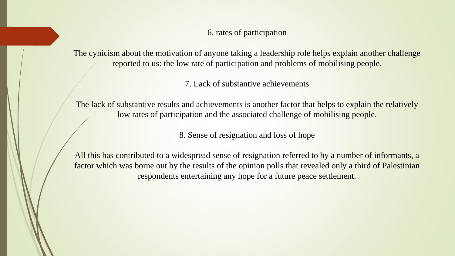6. rates of participation

The cynicism about the motivation of anyone taking a leadership role helps explain another challenge reported to us: the low rate of participation and problems of mobilising people.

7. Lack of substantive achievements

The lack of substantive results and achievements is another factor that helps to explain the relatively low rates of participation and the associated challenge of mobilising people.

8. Sense of resignation and loss of hope

All this has contributed to a widespread sense of resignation referred to by a number of informants, a factor which was borne out by the results of the opinion polls that revealed only a third of Palestinian respondents entertaining any hope for a future peace settlement.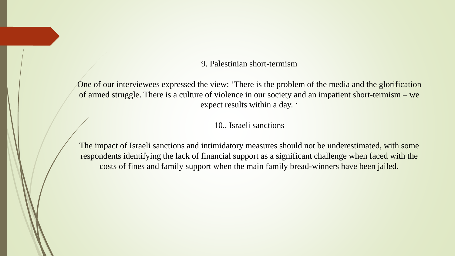# 9. Palestinian short-termism

One of our interviewees expressed the view: 'There is the problem of the media and the glorification of armed struggle. There is a culture of violence in our society and an impatient short-termism – we expect results within a day. '

10.. Israeli sanctions

The impact of Israeli sanctions and intimidatory measures should not be underestimated, with some respondents identifying the lack of financial support as a significant challenge when faced with the costs of fines and family support when the main family bread-winners have been jailed.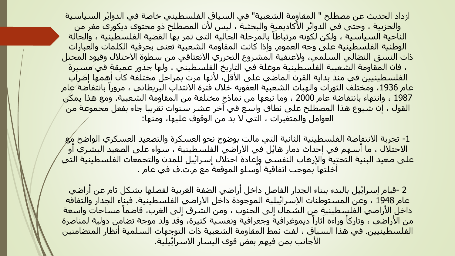ازداد الحديث عن مصطلح " المقاوِمة الشعبية" في السياق الفلسطيني خاصة في الدوايُر السـياسـية والحزبية ، وحتى في الدواير الأكاديميةٍ والبحثية ، ليس لأن المصطلح ذو محتوى ديكوري مغر من الناحية السياسية ، ولكن لكونه مرتباطاً بالمرحلة الحالية التي تمر بها القضية الفلسطينية ، والحالة الوطنية الفلسطينية على وجه العموم. وإذا كانت المقاومة الشعبية تعني بحرفية الكلمات والعبارات ذات النسق النضالي السلمي، والعنفية المشروع التحرري االنعتاقي من سطوة االحتالل وقيود المحتل ، فان المقاومة الشعبية الفلسطينية موغلة في التاريخ الفلسطيني ، ولها جذور عميقة في مسيرة الفلسطينيين في منذ بداية القرن الماضي على االٔقل، الٔنها مرت بمراحل مختلفة كان أهمها إضراب عام 1936، ومختلف الثورات والهبات الشعبية العفوية خلال فترة الانتداب البريطاني ، مروراً بانتفاضة عام 1987 ، وانتهاء بانتفاضة عام 2000 ، وما تبعها من نماذج مختلفة من المقاومة الشعبية. ومع هذا يمكن القول ، إن شيوع هذا المصطلح على نطاق واسع في آخر عشر سنوات تقريبا جاء بفعل مجموعة من العوامل والمتغيرات ، التي ال بد من الوقوف عليها، ومنها:

-1 تجربة االنتفاضة الفلسطينية الثانية التي مالت بوضوح نحو العسكرة والتصعيد العسكري الواضح مع الاحتلال ، ما أسـهم في إحداث دمار هايُل في الأراضي الفلسطينية ، سـواء على الصعيد البشـري أو <mark>على صعيد البنية التحتية والإ</mark>رهاب النفسي وإعادة احتلال إسرايُيل للمدن والتجمعات الفلسطينية التي أخلتها بموجب اتفاقية أوسلو الموقعة مع م.ت.ف في عام .

2 -قيام إسراييل بالبدء ببناء الجدار الفاصل داخل أراضي الضفة الغربية لفصلها بشكل تام عن أراضي عام 1948 ، وعن المستوطنات الإسرايُيلية الموجودة داخل الأراضي الفلسطينية. فبناء الجدار والتفافه داخلُ الأراضي الفلسطينية من الشمال إلى الجنوب ، ومن الشرق إلى الغرب، قاضماً مساحات واسعة من الأراضي ، وتاركاً وراءه آثاراً ديموغرافيةً وجغرافيةً ونفسية كثيرة، وقد ولد موجة تضامن دولية لمناصرة الفلسطينيين. في هذا السياق ، لفت نمط المقاومة الشعبية ذات التوجهات السلمية أنظار المتضامنين الاجانب بمن فيهم بعض قوى اليسار الإسراييلية.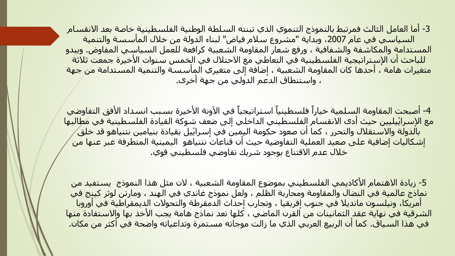3- أما العامل الثالث فمرتبط بالنموذج التنموي الذي تبنته السلطة الوطنية الفلسطينية خاصة بعد الانقسام السياسي في عام 2007، وبداية "مشروع سلام فياض" لبناء الدولة من خلال الماسسة والتنمية المستدامة والمكاشفة والشفافية ، ورفع شعار المقاومة الشعبية كرافعة للعمل السياسي المفاوض. ويبدو للباحث ان الإستراتيجية الفلسطينية في التعاطي مع الاحتلال في الخمس سنوات الأخيرة جمعت ثلاثة <mark>متغيرات هامة ، احدها كان المقاومة ال</mark>شعبية ، إضافة إلى متغيري الماسسة والتنمية المستدامة من جهة ، واستنطاق الدعم الدولي من جهة أخرى.

4- أصبحت المقاومة السلمية خياراً فلسطينياً استراتيجياً في الآونة الأخيرة بسبب انسداد الأفق التفاوضي <mark>مع الإسراييليين حيث اد</mark>ى الانقسام الفلسطيني الداخلي إلى ضعف شوكة القيادة الفلسطينية في م*ُط*البها ب<mark>الدولة والاستقلال والتحرر ، كما أن صعود حكومة اليمين في إسراييل بقيادة بنيامين نتنياهو قد خلق</mark> إشكاليات إضافية على صعيد العملية التفاوضية حيث أن قناعات نتنياهو اليمينية المتطرفة عبر عنها من خالل عدم االقتناع بوجود شريك تفاوضي فلسطيني قوي.

5- زيادة الاهتمام الأكاديمي الفلسطيني بموضوع المقاومة الشعبية ، لان مثل هذا النموذج يستفيد من نماذج عالمية في النضال والمقاومة ومحاربة الظلم ، ولعل نموذج غاندي في الهند ، ومارتن لوثر كينج في أمريكا، ونيلسون مانديال في جنوب إفريقيا ، وتجارب إحداث الدمقرطة والتحوالت الديمقراطية في أوروبا الشرقية في نهاية عقد الثمانينات من القرن الماضي ، كلها تعد نماذج هامة يجب االٔخذ بها واالستفادة منها في هذا السياق. كما أن الربيع العربي الذي ما زالت موجاته مستمرة وتداعياته واضحة في أكثر من مكان.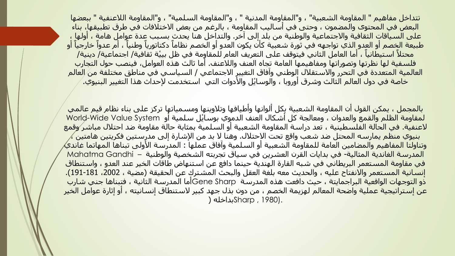تتداخل مفاهيم " المقاومة الشعبية" ، و"المقاومة المدنية " ، و"المقاومة السلمية" ، و"المقاومة اللاعنفية " ببعضها البعض في المحتوى والمضمون ، وحتى في أساليب المقاومة ، بالرغم من بعض االختالفات في طرق تطبيقها، بناء على السياقات الثقافية والاجتماعية والوطنية من بلد إلى اخر. والتداخل هنا يحدث بسبب عدة عوامل هامة ، اولها ، طبيعة الخصم أو العدو الذي تواجهه في ثورة شعبية كأن يكون العدو أو الخصم نظاماً دكتاتورياً وطنياً ، أم عدواً خارجياً أو ً.<br>محتلاً استيطانياً ، أما العامل الثاني فيتوقف على التعريف العام للمقاومة في ظل بيئة ثقافية/ اجتماعية*/* دينية/ فلسفية لها نظرتها وتصوراتها ومفاهيمها العامة تجاه العنف والالعنف. أما ثالث هذه العوامل، فينصب حول التجارب العالمية المتعددة في التحرر والاستقلال الوطني وافاق التغيير الاجتماعي / السياسيي في مناطق مختلفة من/العالم خاصة في دول العالم الثالث وشرق أوروبا ، والوسايُل والأدوات التي استخدمت لإحداث هذا التغيير البنيوي.

بالمجمل ، يمكن القول أن المقاومة الشعبية بكل ألوانها وأطيافها وتالوينها ومسمياتها تركز على بناء نظام قيم عالمي لمقاومة الظلم والقمع والعدوان ، ومعالجة كل أشكال العنف الدموي بوسايْل سلمية أو World-Wide Value System العنفية. في الحالة الفلسطينية ، تعد دراسة المقاومة الشعبية أو السلمية بمثابة حالة مقاومة ضد احتالل مباشر وقمع بنيوي منظم يمارسه المحتل ضد شعب واقع تحت الاحتلال. وهنا لا بد من الإشارة إلى مدرستين فكريتين هامتين ،⁄ وتناولتا المفاهيم والمضامين العامة للمقاومة الشعبية او السلمية وافاق عملها : المدرسة الأولى تبناها المهاتما غاندي⁄ المدرسة الغاندية المثالية- في بدايات القرن العشرين في سياق تجربته الشخصية والوطنية – Gandhi Mahatma في مقاومة المستعمر البريطاني في شبه القارة الهندية حينما دافع عن استنهاض طاقات الخير عند العدو ، واستنطاق إنسانية المستعمر والانفتاح عليه ، والحديث معه بلغة العقل والبحث المشترك عن الحقيقة (مضية ، 2002، 191-191). ذو التوجهات الواقعية البراجمايتة ، حيث دافعت هذه المدرسة Sharp Geneأما المدرسة الثانية ، فتبناها جني شارب عن إستراتيجية عملية واضحة المعالم لهزيمة الخصم ، من دون بذل جهد كبير الستنطاق إنسانيته ، أو إثارة عوامل الخير .(1980 , Sharpبداخله )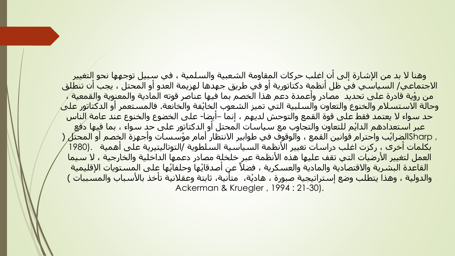وهنا لا بد من الإشارة إلى ان اغلب حركات المقاومة الشعبية والسلمية ، في سبيل توجهها نحو التغيير االجتماعي/ السياسي في ظل أنظمة دكتاتورية أو في طريق جهدها لهزيمة العدو أو المحتل ، يجب أن تنطلق من رٔوية قادرة على تحديد مصادر وأعمدة دعم هذا الخصم بما فيها عناصر قوته المادية والمعنوية والقمعية ، وحالة الاستسلام والخنوع والتعاون والسلبية التي تميز الشعوب الخايفة والخانعة. فالمستعمر او الدكتاتور على حد سواء ال يعتمد فقط على قوة القمع والتوحش لديهم ، إنما –أيضا- على الخضوع والخنوع عند عامة الناس عبر استعدادهم الدايْم للتعاون والتجاوب مع سياسات المحتل أو الدكتاتور على حد سـواء ، بما فيها دفعِ , Sharpالضرايب واحترام قوانين القمع ، والوقوف في طوابير الانتظار أمام مؤسسات واجهزة الخصم او المحتل ( بكلمات أخرى ، ركزت اغلب دراسات تغيير االٔنظمة السياسية السلطوية /التوتاليتيرية على أهمية .(1980 العمل لتغيير االٔرضيات التي تقف عليها هذه االٔنظمة عبر خلخلة مصادر دعمها الداخلية والخارجية ، ال سيما القاعدة البشرية والاقتصادية والمادية والعسكرية ، فضلاً عن أصدقايها وحلفايها على المستويات الإقليمية والدولية ، وهذا يتطلب وضع إستراتيجية صبورة ، هادية، متأنية، ثابتة وعقلانية تأخذ بالأسباب والمسببات ) Ackerman & Kruegler , 1994 : 21-30).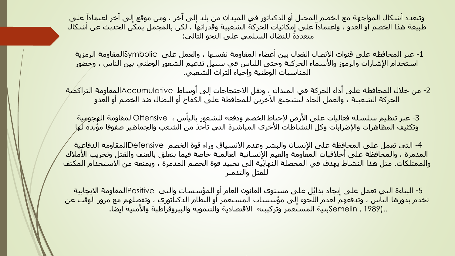ًوتتعدد أشـكال المواجـهة مع الخصم المحتل أو الدكتاتور في الميدان من بلد إلى آخر ، ومن موقع إلى آخر اعتماداً على ًطبيعة هذا الخصم أو العدو ، واعتماداً على إمكانيات الحركة الشعبية وقدراتها ، لكن بالمجمل يمكن الحديث عن أشكال متعددة للنضال السلمي على النحو التالي:

-1 عبر المحافظة على قنوات االتصال الفعال بين أعضاء المقاومة نفسها ، والعمل على Symbolicالمقاومة الرمزية استخدام الإشارات والرموز والأسـماء الحركية وحتى اللباس في سـبيل تدعيم الشـعور الوطني بين الناس ، وحضور المناسبات الوطنية وإحياء التراث الشعبي.

-2 من خالل المحافظة على أداء الحركة في الميدان ، ونقل االحتجاجات إلى أوساط Accumulativeالمقاومة التراكمية الحركة الشعبية ، والعمل الجاد لتشجيع االٓخرين للمحافظة على الكفاح أو النضال ضد الخصم أو العدو

3- عبر تنظيم سلسلة فعاليات على الأرض لإحباط الخصم ودفعه للشعور باليأس ، Offensiveالمقاومة الهجومية وتكثيف المظاهرات والإضرابات وكل النشاطات الأخرى المباشرة التي تأخذ من الشعب والجماهير صفوفا مؤيدة ل*ُه*ا

4- التي تعمل على المحافظة على الإنسان والبشر وعدم الانسياق وراء قوة الخصم Defensiveالمقاومة الدفاعية المدمرة ، والمحافظة على أخلاقيات المقاومة والقيم الإنسانية العالمية خاصة فيما يتعلق بالعنف والقتل وتخريب الأملاك والممتلكات. مثل هذا النشاط يهدف في المحصلة النهايُية إلى تحييد قوة الخصم المدمرة ، ويمنعه من الاستخدام المكثف للقتل والتدمير

5- البناءة التي تعمل على إيجاد بدايْل على مستوى القانون العام أو المؤسسات والتي Positiveالمقاومة الايجابية تخدم بدورها الناس ، وتدفعهم لعدم اللجوء إلى مؤسسات المستعمر أو النظام الدكتاتوري ، وتفصلهم مع مرور الوقت عن ..(1989 , Semelinبنية المستعمر وتركيبته االقتصادية والتنموية والبيروقراطية واالٔمنية أيضا.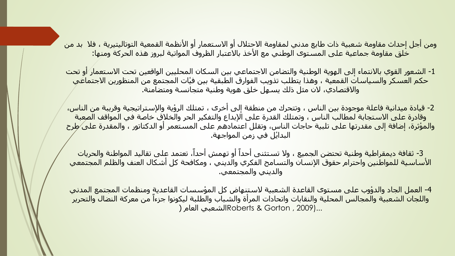ومن أجل إحداث مقاومة شعبية ذات طابع مدني لمقاومة االحتالل أو االستعمار أو االٔنظمة القمعية التوتاليتيرية ، فال بد من خلق مقاومة جماعية على المستوى الوطني مع االٔخذ باالعتبار الظروف المواتية لبروز هذه الحركة ومنها:

-1 الشعور القوي باالنتماء إلى الهوية الوطنية والتضامن االجتماعي بين السكان المحليين الواقعين تحت االستعمار أو تحت حكم العسكر والسياسات القمعية ، وهذا يتطلب تذويب الفوارق الطبقية بين فٔيات المجتمع من المنظورين االجتماعي واالقتصادي، الن مثل ذلك يسهل خلق هوية وطنية متجانسة ومتضامنة.

2- قيادة ميدانية فاعلة موجودة بين الناس ، وتتحرك من منطقة إلى أخرى ، تمتلك الرؤية والإستراتيجية وقريبة من الناس، وقادرة على الاستجابة لمطالب الناس ، وتمتلك القدرة على الإبداع والتفكير الحر والخلاق خاصة في المواقف الصعبة والمؤثرة، إضافة إلى مقدرتها على تلبية حاجات الناس، وتقلل اعتمادهم على المستعمر أو الدكتاتور ، والمقدرة على طرح البدايْل في زمن المواجهة.

3- ثقافة ديمقراطية وطنية تحتضن الجميع ، ولا تستثني أحداً أو تهمش أحداً، تعتمد على تقاليد المواطنة والحريات الأساسية للمواطنين واحترام حقوق الإنسان والتسامح الفكري والديني ، ومكافحة كل أشكال العنف والظلم المجتمعي والديني والمجتمعي.

4- العمل الجاد والدؤوب على مستوى القاعدة الشعبية لاستنهاض كل المؤسسات القاعديةِ ومنظمات المجتمع المدني واللجان الشعبية والمجالس المحلية والنقابات واتحادات المرأة والشباب والطلبة ليكونوا جزءاً من معركة النضال والتحرير ...(2009 , Gorton & Robertsالشعبي العام )